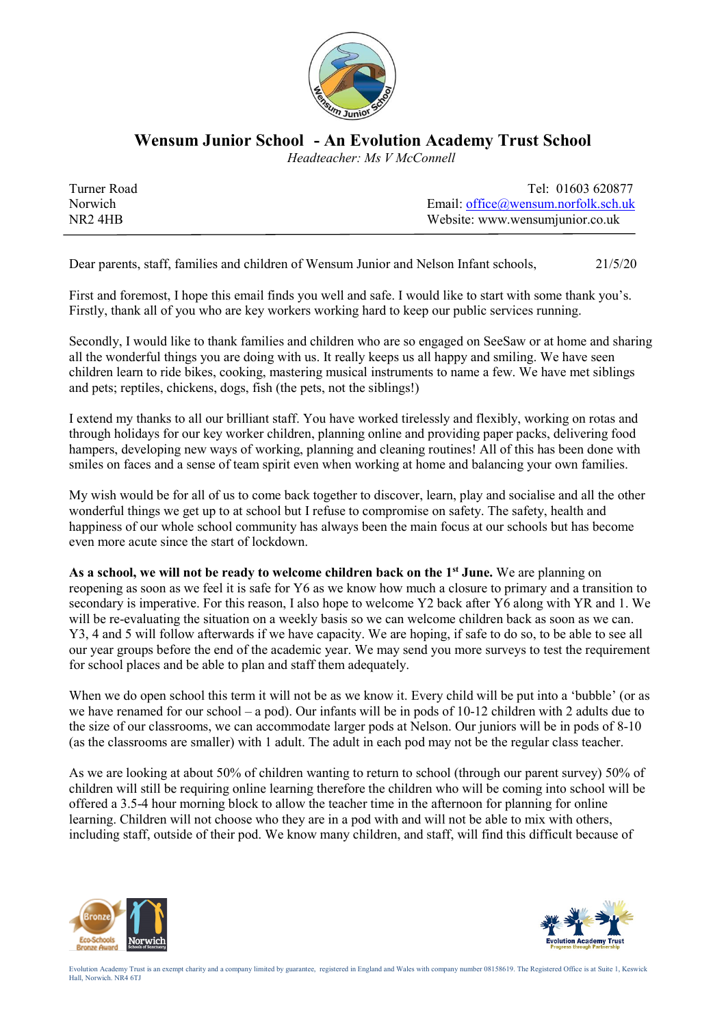

## Wensum Junior School - An Evolution Academy Trust School

Headteacher: Ms V McConnell

| Turner Road                     | Tel: 01603 620877                      |
|---------------------------------|----------------------------------------|
| Norwich                         | Email: $office@$ wensum.norfolk.sch.uk |
| NR <sub>2</sub> 4H <sub>B</sub> | Website: www.wensumjunior.co.uk        |
|                                 |                                        |

Dear parents, staff, families and children of Wensum Junior and Nelson Infant schools, 21/5/20

First and foremost, I hope this email finds you well and safe. I would like to start with some thank you's. Firstly, thank all of you who are key workers working hard to keep our public services running.

Secondly, I would like to thank families and children who are so engaged on SeeSaw or at home and sharing all the wonderful things you are doing with us. It really keeps us all happy and smiling. We have seen children learn to ride bikes, cooking, mastering musical instruments to name a few. We have met siblings and pets; reptiles, chickens, dogs, fish (the pets, not the siblings!)

I extend my thanks to all our brilliant staff. You have worked tirelessly and flexibly, working on rotas and through holidays for our key worker children, planning online and providing paper packs, delivering food hampers, developing new ways of working, planning and cleaning routines! All of this has been done with smiles on faces and a sense of team spirit even when working at home and balancing your own families.

My wish would be for all of us to come back together to discover, learn, play and socialise and all the other wonderful things we get up to at school but I refuse to compromise on safety. The safety, health and happiness of our whole school community has always been the main focus at our schools but has become even more acute since the start of lockdown.

As a school, we will not be ready to welcome children back on the  $1<sup>st</sup>$  June. We are planning on reopening as soon as we feel it is safe for Y6 as we know how much a closure to primary and a transition to secondary is imperative. For this reason, I also hope to welcome Y2 back after Y6 along with YR and 1. We will be re-evaluating the situation on a weekly basis so we can welcome children back as soon as we can. Y3, 4 and 5 will follow afterwards if we have capacity. We are hoping, if safe to do so, to be able to see all our year groups before the end of the academic year. We may send you more surveys to test the requirement for school places and be able to plan and staff them adequately.

When we do open school this term it will not be as we know it. Every child will be put into a 'bubble' (or as we have renamed for our school – a pod). Our infants will be in pods of 10-12 children with 2 adults due to the size of our classrooms, we can accommodate larger pods at Nelson. Our juniors will be in pods of 8-10 (as the classrooms are smaller) with 1 adult. The adult in each pod may not be the regular class teacher.

As we are looking at about 50% of children wanting to return to school (through our parent survey) 50% of children will still be requiring online learning therefore the children who will be coming into school will be offered a 3.5-4 hour morning block to allow the teacher time in the afternoon for planning for online learning. Children will not choose who they are in a pod with and will not be able to mix with others, including staff, outside of their pod. We know many children, and staff, will find this difficult because of